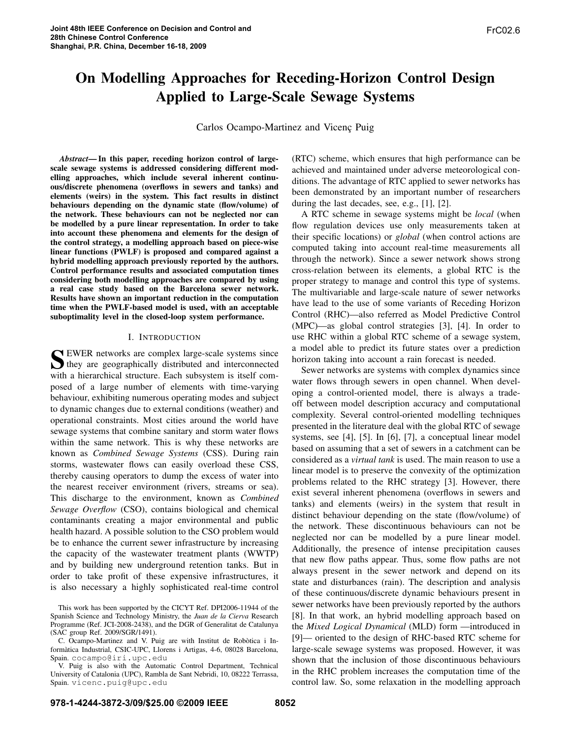# **On Modelling Approaches for Receding-Horizon Control Design Applied to Large-Scale Sewage Systems**

Carlos Ocampo-Martinez and Vicenç Puig

*Abstract***— In this paper, receding horizon control of largescale sewage systems is addressed considering different modelling approaches, which include several inherent continuous/discrete phenomena (overflows in sewers and tanks) and elements (weirs) in the system. This fact results in distinct behaviours depending on the dynamic state (flow/volume) of the network. These behaviours can not be neglected nor can be modelled by a pure linear representation. In order to take into account these phenomena and elements for the design of the control strategy, a modelling approach based on piece-wise linear functions (PWLF) is proposed and compared against a hybrid modelling approach previously reported by the authors. Control performance results and associated computation times considering both modelling approaches are compared by using a real case study based on the Barcelona sewer network. Results have shown an important reduction in the computation time when the PWLF-based model is used, with an acceptable suboptimality level in the closed-loop system performance.**

## I. INTRODUCTION

**S** EWER networks are complex large-scale systems since they are geographically distributed and interconnected with a hierarchical structure. Each subsystem is itself composed of a large number of elements with time-varying behaviour, exhibiting numerous operating modes and subject to dynamic changes due to external conditions (weather) and operational constraints. Most cities around the world have sewage systems that combine sanitary and storm water flows within the same network. This is why these networks are known as *Combined Sewage Systems* (CSS). During rain storms, wastewater flows can easily overload these CSS, thereby causing operators to dump the excess of water into the nearest receiver environment (rivers, streams or sea). This discharge to the environment, known as *Combined Sewage Overflow* (CSO), contains biological and chemical contaminants creating a major environmental and public health hazard. A possible solution to the CSO problem would be to enhance the current sewer infrastructure by increasing the capacity of the wastewater treatment plants (WWTP) and by building new underground retention tanks. But in order to take profit of these expensive infrastructures, it is also necessary a highly sophisticated real-time control

(RTC) scheme, which ensures that high performance can be achieved and maintained under adverse meteorological conditions. The advantage of RTC applied to sewer networks has been demonstrated by an important number of researchers during the last decades, see, e.g., [1], [2].

A RTC scheme in sewage systems might be *local* (when flow regulation devices use only measurements taken at their specific locations) or *global* (when control actions are computed taking into account real-time measurements all through the network). Since a sewer network shows strong cross-relation between its elements, a global RTC is the proper strategy to manage and control this type of systems. The multivariable and large-scale nature of sewer networks have lead to the use of some variants of Receding Horizon Control (RHC)—also referred as Model Predictive Control (MPC)—as global control strategies [3], [4]. In order to use RHC within a global RTC scheme of a sewage system, a model able to predict its future states over a prediction horizon taking into account a rain forecast is needed.

Sewer networks are systems with complex dynamics since water flows through sewers in open channel. When developing a control-oriented model, there is always a tradeoff between model description accuracy and computational complexity. Several control-oriented modelling techniques presented in the literature deal with the global RTC of sewage systems, see [4], [5]. In [6], [7], a conceptual linear model based on assuming that a set of sewers in a catchment can be considered as a *virtual tank* is used. The main reason to use a linear model is to preserve the convexity of the optimization problems related to the RHC strategy [3]. However, there exist several inherent phenomena (overflows in sewers and tanks) and elements (weirs) in the system that result in distinct behaviour depending on the state (flow/volume) of the network. These discontinuous behaviours can not be neglected nor can be modelled by a pure linear model. Additionally, the presence of intense precipitation causes that new flow paths appear. Thus, some flow paths are not always present in the sewer network and depend on its state and disturbances (rain). The description and analysis of these continuous/discrete dynamic behaviours present in sewer networks have been previously reported by the authors [8]. In that work, an hybrid modelling approach based on the *Mixed Logical Dynamical* (MLD) form —introduced in [9]— oriented to the design of RHC-based RTC scheme for large-scale sewage systems was proposed. However, it was shown that the inclusion of those discontinuous behaviours in the RHC problem increases the computation time of the control law. So, some relaxation in the modelling approach

This work has been supported by the CICYT Ref. DPI2006-11944 of the Spanish Science and Technology Ministry, the *Juan de la Cierva* Research Programme (Ref. JCI-2008-2438), and the DGR of Generalitat de Catalunya (SAC group Ref. 2009/SGR/1491).

C. Ocampo-Martinez and V. Puig are with Institut de Robòtica i Informàtica Industrial, CSIC-UPC, Llorens i Artigas, 4-6, 08028 Barcelona, Spain. cocampo@iri.upc.edu

V. Puig is also with the Automatic Control Department, Technical University of Catalonia (UPC), Rambla de Sant Nebridi, 10, 08222 Terrassa, Spain. vicenc.puig@upc.edu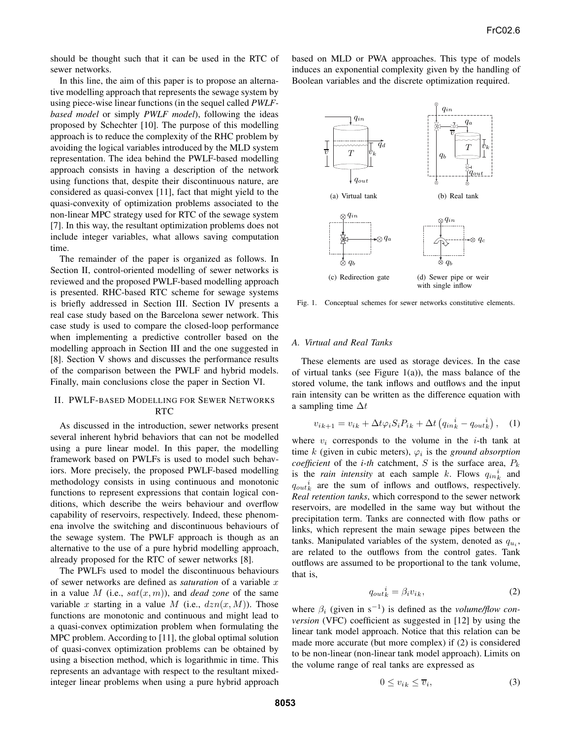should be thought such that it can be used in the RTC of sewer networks.

In this line, the aim of this paper is to propose an alternative modelling approach that represents the sewage system by using piece-wise linear functions (in the sequel called *PWLFbased model* or simply *PWLF model*), following the ideas proposed by Schechter [10]. The purpose of this modelling approach is to reduce the complexity of the RHC problem by avoiding the logical variables introduced by the MLD system representation. The idea behind the PWLF-based modelling approach consists in having a description of the network using functions that, despite their discontinuous nature, are considered as quasi-convex [11], fact that might yield to the quasi-convexity of optimization problems associated to the non-linear MPC strategy used for RTC of the sewage system [7]. In this way, the resultant optimization problems does not include integer variables, what allows saving computation time.

The remainder of the paper is organized as follows. In Section II, control-oriented modelling of sewer networks is reviewed and the proposed PWLF-based modelling approach is presented. RHC-based RTC scheme for sewage systems is briefly addressed in Section III. Section IV presents a real case study based on the Barcelona sewer network. This case study is used to compare the closed-loop performance when implementing a predictive controller based on the modelling approach in Section III and the one suggested in [8]. Section V shows and discusses the performance results of the comparison between the PWLF and hybrid models. Finally, main conclusions close the paper in Section VI.

## II. PWLF-BASED MODELLING FOR SEWER NETWORKS RTC

As discussed in the introduction, sewer networks present several inherent hybrid behaviors that can not be modelled using a pure linear model. In this paper, the modelling framework based on PWLFs is used to model such behaviors. More precisely, the proposed PWLF-based modelling methodology consists in using continuous and monotonic functions to represent expressions that contain logical conditions, which describe the weirs behaviour and overflow capability of reservoirs, respectively. Indeed, these phenomena involve the switching and discontinuous behaviours of the sewage system. The PWLF approach is though as an alternative to the use of a pure hybrid modelling approach, already proposed for the RTC of sewer networks [8].

The PWLFs used to model the discontinuous behaviours of sewer networks are defined as *saturation* of a variable x in a value M (i.e.,  $sat(x, m)$ ), and *dead zone* of the same variable x starting in a value M (i.e.,  $dzn(x, M)$ ). Those functions are monotonic and continuous and might lead to a quasi-convex optimization problem when formulating the MPC problem. According to [11], the global optimal solution of quasi-convex optimization problems can be obtained by using a bisection method, which is logarithmic in time. This represents an advantage with respect to the resultant mixedinteger linear problems when using a pure hybrid approach based on MLD or PWA approaches. This type of models induces an exponential complexity given by the handling of Boolean variables and the discrete optimization required.



Fig. 1. Conceptual schemes for sewer networks constitutive elements.

## *A. Virtual and Real Tanks*

These elements are used as storage devices. In the case of virtual tanks (see Figure 1(a)), the mass balance of the stored volume, the tank inflows and outflows and the input rain intensity can be written as the difference equation with a sampling time  $\Delta t$ 

$$
v_{ik+1} = v_{ik} + \Delta t \varphi_i S_i P_{ik} + \Delta t \left( q_{ink}^i - q_{outk}^i \right), \quad (1)
$$

where  $v_i$  corresponds to the volume in the *i*-th tank at time k (given in cubic meters),  $\varphi_i$  is the *ground absorption coefficient* of the *i-th* catchment, S is the surface area,  $P_k$ is the *rain intensity* at each sample  $k$ . Flows  $q_{ink}^i$  and  $q_{outk}$  are the sum of inflows and outflows, respectively. *Real retention tanks*, which correspond to the sewer network reservoirs, are modelled in the same way but without the precipitation term. Tanks are connected with flow paths or links, which represent the main sewage pipes between the tanks. Manipulated variables of the system, denoted as  $q_{ui}$ , are related to the outflows from the control gates. Tank outflows are assumed to be proportional to the tank volume, that is,

$$
q_{outk}^i = \beta_i v_{ik},\tag{2}
$$

where  $\beta_i$  (given in s<sup>-1</sup>) is defined as the *volume/flow conversion* (VFC) coefficient as suggested in [12] by using the linear tank model approach. Notice that this relation can be made more accurate (but more complex) if (2) is considered to be non-linear (non-linear tank model approach). Limits on the volume range of real tanks are expressed as

$$
0 \le v_{ik} \le \overline{v}_i,\tag{3}
$$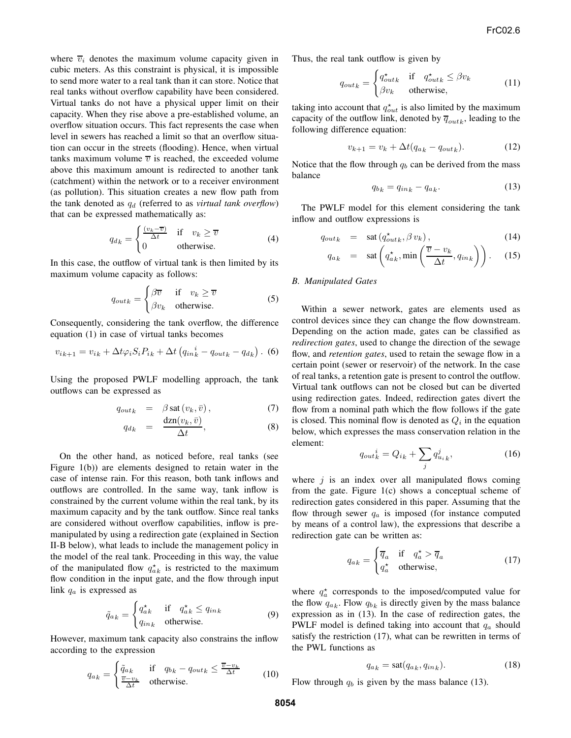where  $\overline{v}_i$  denotes the maximum volume capacity given in cubic meters. As this constraint is physical, it is impossible to send more water to a real tank than it can store. Notice that real tanks without overflow capability have been considered. Virtual tanks do not have a physical upper limit on their capacity. When they rise above a pre-established volume, an overflow situation occurs. This fact represents the case when level in sewers has reached a limit so that an overflow situation can occur in the streets (flooding). Hence, when virtual tanks maximum volume  $\overline{v}$  is reached, the exceeded volume above this maximum amount is redirected to another tank (catchment) within the network or to a receiver environment (as pollution). This situation creates a new flow path from the tank denoted as  $q_d$  (referred to as *virtual tank overflow*) that can be expressed mathematically as:

$$
q_{d_k} = \begin{cases} \frac{(v_k - \overline{v})}{\Delta t} & \text{if } v_k \ge \overline{v} \\ 0 & \text{otherwise.} \end{cases}
$$
 (4)

In this case, the outflow of virtual tank is then limited by its maximum volume capacity as follows:

$$
q_{outk} = \begin{cases} \beta \overline{v} & \text{if } v_k \ge \overline{v} \\ \beta v_k & \text{otherwise.} \end{cases}
$$
 (5)

Consequently, considering the tank overflow, the difference equation (1) in case of virtual tanks becomes

$$
v_{ik+1} = v_{ik} + \Delta t \varphi_i S_i P_{ik} + \Delta t \left( q_{ink}^i - q_{outk} - q_{dk} \right). (6)
$$

Using the proposed PWLF modelling approach, the tank outflows can be expressed as

$$
q_{outk} = \beta \operatorname{sat}(v_k, \bar{v}), \qquad (7)
$$

$$
q_{d_k} = \frac{\mathrm{d}\mathsf{z}\mathsf{n}(v_k, \bar{v})}{\Delta t}, \tag{8}
$$

On the other hand, as noticed before, real tanks (see Figure 1(b)) are elements designed to retain water in the case of intense rain. For this reason, both tank inflows and outflows are controlled. In the same way, tank inflow is constrained by the current volume within the real tank, by its maximum capacity and by the tank outflow. Since real tanks are considered without overflow capabilities, inflow is premanipulated by using a redirection gate (explained in Section II-B below), what leads to include the management policy in the model of the real tank. Proceeding in this way, the value of the manipulated flow  $q_{ak}^{\star}$  is restricted to the maximum flow condition in the input gate, and the flow through input link  $q_a$  is expressed as

$$
\tilde{q}_{a_k} = \begin{cases} q_{a_k}^* & \text{if } q_{a_k}^* \le q_{in_k} \\ q_{in_k} & \text{otherwise.} \end{cases}
$$
(9)

However, maximum tank capacity also constrains the inflow according to the expression

$$
q_{a_k} = \begin{cases} \tilde{q}_{a_k} & \text{if } q_{b_k} - q_{out_k} \le \frac{\overline{v} - v_k}{\Delta t} \\ \frac{\overline{v} - v_k}{\Delta t} & \text{otherwise.} \end{cases}
$$
(10)

Thus, the real tank outflow is given by

$$
q_{outk} = \begin{cases} q_{outk}^* & \text{if } q_{outk}^* \leq \beta v_k \\ \beta v_k & \text{otherwise,} \end{cases}
$$
 (11)

taking into account that  $q_{out}^{\star}$  is also limited by the maximum capacity of the outflow link, denoted by  $\overline{q}_{outk}$ , leading to the following difference equation:

$$
v_{k+1} = v_k + \Delta t (q_{a_k} - q_{out_k}).
$$
 (12)

Notice that the flow through  $q_b$  can be derived from the mass balance

$$
q_{bk} = q_{ink} - q_{ak}.\tag{13}
$$

The PWLF model for this element considering the tank inflow and outflow expressions is

$$
q_{outk} = \text{sat}(q_{outk}^{\star}, \beta v_k), \qquad (14)
$$

$$
q_{a_k} = \text{sat}\left(q_{a_k}^{\star}, \min\left(\frac{\overline{v} - v_k}{\Delta t}, q_{in_k}\right)\right). \quad (15)
$$

## *B. Manipulated Gates*

Within a sewer network, gates are elements used as control devices since they can change the flow downstream. Depending on the action made, gates can be classified as *redirection gates*, used to change the direction of the sewage flow, and *retention gates*, used to retain the sewage flow in a certain point (sewer or reservoir) of the network. In the case of real tanks, a retention gate is present to control the outflow. Virtual tank outflows can not be closed but can be diverted using redirection gates. Indeed, redirection gates divert the flow from a nominal path which the flow follows if the gate is closed. This nominal flow is denoted as  $Q_i$  in the equation below, which expresses the mass conservation relation in the element:

$$
q_{outk}^{i} = Q_{ik} + \sum_{j} q_{u_{ik}}^{j}, \qquad (16)
$$

where  $j$  is an index over all manipulated flows coming from the gate. Figure 1(c) shows a conceptual scheme of redirection gates considered in this paper. Assuming that the flow through sewer  $q_a$  is imposed (for instance computed by means of a control law), the expressions that describe a redirection gate can be written as:

$$
q_{a,k} = \begin{cases} \overline{q}_a & \text{if } q_a^{\star} > \overline{q}_a \\ q_a^{\star} & \text{otherwise,} \end{cases}
$$
 (17)

where  $q_a^*$  corresponds to the imposed/computed value for the flow  $q_{ak}$ . Flow  $q_{bk}$  is directly given by the mass balance expression as in (13). In the case of redirection gates, the PWLF model is defined taking into account that  $q_a$  should satisfy the restriction (17), what can be rewritten in terms of the PWL functions as

$$
q_{a_k} = \text{sat}(q_{a_k}, q_{in_k}).\tag{18}
$$

Flow through  $q_b$  is given by the mass balance (13).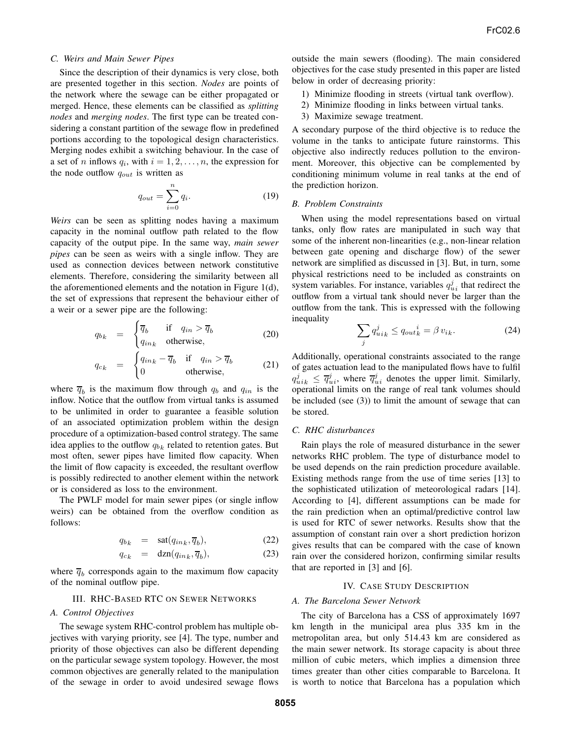## *C. Weirs and Main Sewer Pipes*

Since the description of their dynamics is very close, both are presented together in this section. *Nodes* are points of the network where the sewage can be either propagated or merged. Hence, these elements can be classified as *splitting nodes* and *merging nodes*. The first type can be treated considering a constant partition of the sewage flow in predefined portions according to the topological design characteristics. Merging nodes exhibit a switching behaviour. In the case of a set of *n* inflows  $q_i$ , with  $i = 1, 2, \ldots, n$ , the expression for the node outflow  $q_{out}$  is written as

$$
q_{out} = \sum_{i=0}^{n} q_i.
$$
 (19)

*Weirs* can be seen as splitting nodes having a maximum capacity in the nominal outflow path related to the flow capacity of the output pipe. In the same way, *main sewer pipes* can be seen as weirs with a single inflow. They are used as connection devices between network constitutive elements. Therefore, considering the similarity between all the aforementioned elements and the notation in Figure 1(d), the set of expressions that represent the behaviour either of a weir or a sewer pipe are the following:

$$
q_{bk} = \begin{cases} \overline{q}_b & \text{if } q_{in} > \overline{q}_b \\ q_{ink} & \text{otherwise,} \end{cases}
$$
 (20)

$$
q_{ck} = \begin{cases} q_{in,k} - \overline{q}_b & \text{if } q_{in} > \overline{q}_b \\ 0 & \text{otherwise,} \end{cases}
$$
 (21)

where  $\overline{q}_b$  is the maximum flow through  $q_b$  and  $q_{in}$  is the inflow. Notice that the outflow from virtual tanks is assumed to be unlimited in order to guarantee a feasible solution of an associated optimization problem within the design procedure of a optimization-based control strategy. The same idea applies to the outflow  $q_{b_k}$  related to retention gates. But most often, sewer pipes have limited flow capacity. When the limit of flow capacity is exceeded, the resultant overflow is possibly redirected to another element within the network or is considered as loss to the environment.

The PWLF model for main sewer pipes (or single inflow weirs) can be obtained from the overflow condition as follows:

$$
q_{b_k} = \text{sat}(q_{in_k}, \overline{q}_b), \qquad (22)
$$

$$
q_{ck} = \mathrm{dzn}(q_{in\,k}, \overline{q}_b), \tag{23}
$$

where  $\overline{q}_b$  corresponds again to the maximum flow capacity of the nominal outflow pipe.

## III. RHC-BASED RTC ON SEWER NETWORKS

#### *A. Control Objectives*

The sewage system RHC-control problem has multiple objectives with varying priority, see [4]. The type, number and priority of those objectives can also be different depending on the particular sewage system topology. However, the most common objectives are generally related to the manipulation of the sewage in order to avoid undesired sewage flows outside the main sewers (flooding). The main considered objectives for the case study presented in this paper are listed below in order of decreasing priority:

- 1) Minimize flooding in streets (virtual tank overflow).
- 2) Minimize flooding in links between virtual tanks.
- 3) Maximize sewage treatment.

A secondary purpose of the third objective is to reduce the volume in the tanks to anticipate future rainstorms. This objective also indirectly reduces pollution to the environment. Moreover, this objective can be complemented by conditioning minimum volume in real tanks at the end of the prediction horizon.

## *B. Problem Constraints*

When using the model representations based on virtual tanks, only flow rates are manipulated in such way that some of the inherent non-linearities (e.g., non-linear relation between gate opening and discharge flow) of the sewer network are simplified as discussed in [3]. But, in turn, some physical restrictions need to be included as constraints on system variables. For instance, variables  $q_{ui}^j$  that redirect the outflow from a virtual tank should never be larger than the outflow from the tank. This is expressed with the following inequality

$$
\sum_{j} q_{uik}^{j} \le q_{outk}^{i} = \beta v_{ik}.
$$
 (24)

Additionally, operational constraints associated to the range of gates actuation lead to the manipulated flows have to fulfil  $q_{uik}^j \leq \overline{q}_{ui}^j$ , where  $\overline{q}_{ui}^j$  denotes the upper limit. Similarly, operational limits on the range of real tank volumes should be included (see (3)) to limit the amount of sewage that can be stored.

## *C. RHC disturbances*

Rain plays the role of measured disturbance in the sewer networks RHC problem. The type of disturbance model to be used depends on the rain prediction procedure available. Existing methods range from the use of time series [13] to the sophisticated utilization of meteorological radars [14]. According to [4], different assumptions can be made for the rain prediction when an optimal/predictive control law is used for RTC of sewer networks. Results show that the assumption of constant rain over a short prediction horizon gives results that can be compared with the case of known rain over the considered horizon, confirming similar results that are reported in [3] and [6].

## IV. CASE STUDY DESCRIPTION

## *A. The Barcelona Sewer Network*

The city of Barcelona has a CSS of approximately 1697 km length in the municipal area plus 335 km in the metropolitan area, but only 514.43 km are considered as the main sewer network. Its storage capacity is about three million of cubic meters, which implies a dimension three times greater than other cities comparable to Barcelona. It is worth to notice that Barcelona has a population which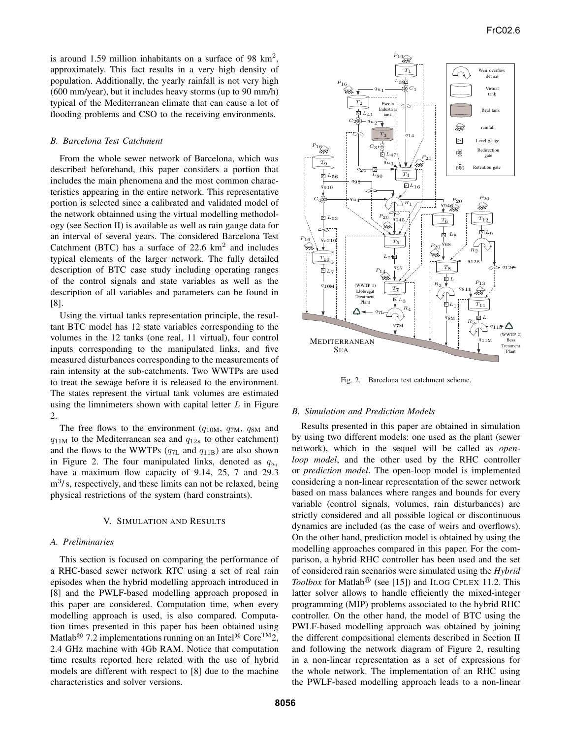is around 1.59 million inhabitants on a surface of 98  $km^2$ . approximately. This fact results in a very high density of population. Additionally, the yearly rainfall is not very high (600 mm/year), but it includes heavy storms (up to 90 mm/h) typical of the Mediterranean climate that can cause a lot of flooding problems and CSO to the receiving environments.

## *B. Barcelona Test Catchment*

From the whole sewer network of Barcelona, which was described beforehand, this paper considers a portion that includes the main phenomena and the most common characteristics appearing in the entire network. This representative portion is selected since a calibrated and validated model of the network obtainned using the virtual modelling methodology (see Section II) is available as well as rain gauge data for an interval of several years. The considered Barcelona Test Catchment (BTC) has a surface of  $22.6 \text{ km}^2$  and includes typical elements of the larger network. The fully detailed description of BTC case study including operating ranges of the control signals and state variables as well as the description of all variables and parameters can be found in [8].

Using the virtual tanks representation principle, the resultant BTC model has 12 state variables corresponding to the volumes in the 12 tanks (one real, 11 virtual), four control inputs corresponding to the manipulated links, and five measured disturbances corresponding to the measurements of rain intensity at the sub-catchments. Two WWTPs are used to treat the sewage before it is released to the environment. The states represent the virtual tank volumes are estimated using the limnimeters shown with capital letter  $L$  in Figure 2.

The free flows to the environment  $(q_{10M}, q_{7M}, q_{8M})$  and  $q_{11M}$  to the Mediterranean sea and  $q_{12s}$  to other catchment) and the flows to the WWTPs  $(q_{7L}$  and  $q_{11B})$  are also shown in Figure 2. The four manipulated links, denoted as  $q_{u_i}$ have a maximum flow capacity of 9.14, 25, 7 and 29.3  $m<sup>3</sup>/s$ , respectively, and these limits can not be relaxed, being physical restrictions of the system (hard constraints).

## V. SIMULATION AND RESULTS

## *A. Preliminaries*

This section is focused on comparing the performance of a RHC-based sewer network RTC using a set of real rain episodes when the hybrid modelling approach introduced in [8] and the PWLF-based modelling approach proposed in this paper are considered. Computation time, when every modelling approach is used, is also compared. Computation times presented in this paper has been obtained using Matlab $^{\circledR}$  7.2 implementations running on an Intel $^{\circledR}$  Core<sup>TM</sup>2, 2.4 GHz machine with 4Gb RAM. Notice that computation time results reported here related with the use of hybrid models are different with respect to [8] due to the machine characteristics and solver versions.



Fig. 2. Barcelona test catchment scheme.

## *B. Simulation and Prediction Models*

Results presented in this paper are obtained in simulation by using two different models: one used as the plant (sewer network), which in the sequel will be called as *openloop model*, and the other used by the RHC controller or *prediction model*. The open-loop model is implemented considering a non-linear representation of the sewer network based on mass balances where ranges and bounds for every variable (control signals, volumes, rain disturbances) are strictly considered and all possible logical or discontinuous dynamics are included (as the case of weirs and overflows). On the other hand, prediction model is obtained by using the modelling approaches compared in this paper. For the comparison, a hybrid RHC controller has been used and the set of considered rain scenarios were simulated using the *Hybrid Toolbox* for Matlab<sup>®</sup> (see [15]) and ILOG CPLEX 11.2. This latter solver allows to handle efficiently the mixed-integer programming (MIP) problems associated to the hybrid RHC controller. On the other hand, the model of BTC using the PWLF-based modelling approach was obtained by joining the different compositional elements described in Section II and following the network diagram of Figure 2, resulting in a non-linear representation as a set of expressions for the whole network. The implementation of an RHC using the PWLF-based modelling approach leads to a non-linear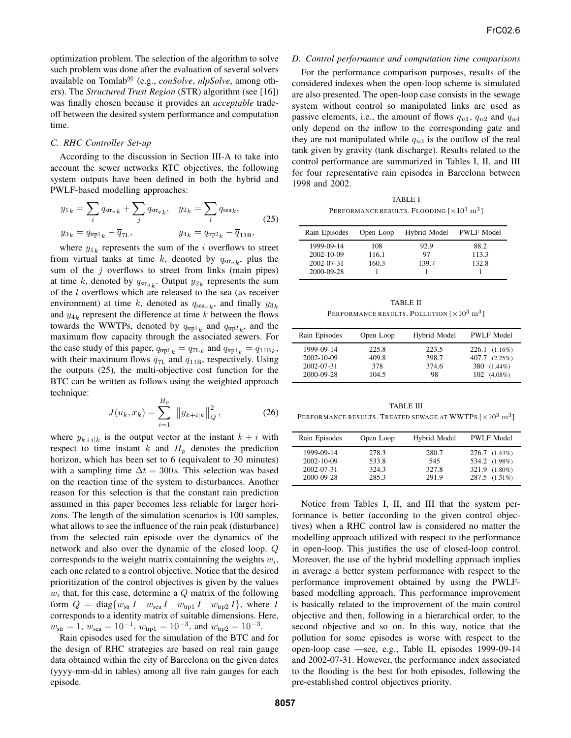optimization problem. The selection of the algorithm to solve such problem was done after the evaluation of several solvers available on Tomlab! (e.g., *conSolve*, *nlpSolve*, among others). The *Structured Trust Region* (STR) algorithm (see [16]) was finally chosen because it provides an *acceptable* tradeoff between the desired system performance and computation time.

## *C. RHC Controller Set-up*

According to the discussion in Section III-A to take into account the sewer networks RTC objectives, the following system outputs have been defined in both the hybrid and PWLF-based modelling approaches:

$$
y_{1k} = \sum_{i} q_{str_{v,k}} + \sum_{j} q_{str_{q,k}}, \quad y_{2k} = \sum_{l} q_{sea,k},
$$
  

$$
y_{3k} = q_{up1_k} - \overline{q}_{7L}, \qquad y_{4k} = q_{up2_k} - \overline{q}_{11B},
$$
 (25)

where  $y_{1k}$  represents the sum of the *i* overflows to street from virtual tanks at time k, denoted by  $q_{strv k}$ , plus the sum of the  $j$  overflows to street from links (main pipes) at time k, denoted by  $q_{str_{q,k}}$ . Output  $y_{2k}$  represents the sum of the l overflows which are released to the sea (as receiver environment) at time k, denoted as  $q_{\text{sea},k}$ , and finally  $y_{3k}$ and  $y_{4k}$  represent the difference at time k between the flows towards the WWTPs, denoted by  $q_{\text{trp1}_k}$  and  $q_{\text{trp2}_k}$ , and the maximum flow capacity through the associated sewers. For the case study of this paper,  $q_{\text{trpl}}_k = q_{7Lk}$  and  $q_{\text{trpl}}_k = q_{11Bk}$ , with their maximum flows  $\overline{q}_{7L}$  and  $\overline{q}_{11B}$ , respectively. Using the outputs (25), the multi-objective cost function for the BTC can be written as follows using the weighted approach technique:

$$
J(u_k, x_k) = \sum_{i=1}^{H_p} ||y_{k+i|k}||_Q^2, \qquad (26)
$$

where  $y_{k+i|k}$  is the output vector at the instant  $k + i$  with respect to time instant k and  $H_p$  denotes the prediction horizon, which has been set to 6 (equivalent to 30 minutes) with a sampling time  $\Delta t = 300s$ . This selection was based on the reaction time of the system to disturbances. Another reason for this selection is that the constant rain prediction assumed in this paper becomes less reliable for larger horizons. The length of the simulation scenarios is 100 samples, what allows to see the influence of the rain peak (disturbance) from the selected rain episode over the dynamics of the network and also over the dynamic of the closed loop. Q corresponds to the weight matrix containning the weights  $w_i$ , each one related to a control objective. Notice that the desired prioritization of the control objectives is given by the values  $w_i$  that, for this case, determine a  $Q$  matrix of the following form  $Q = \text{diag}\{w_{\text{str}} I \quad w_{\text{sea}} I \quad w_{\text{trp1}} I \quad w_{\text{trp2}} I\}$ , where I corresponds to a identity matrix of suitable dimensions. Here,  $w_{\text{str}} = 1$ ,  $w_{\text{sea}} = 10^{-1}$ ,  $w_{\text{trp1}} = 10^{-3}$ , and  $w_{\text{trp2}} = 10^{-3}$ .

Rain episodes used for the simulation of the BTC and for the design of RHC strategies are based on real rain gauge data obtained within the city of Barcelona on the given dates (yyyy-mm-dd in tables) among all five rain gauges for each episode.

#### *D. Control performance and computation time comparisons*

For the performance comparison purposes, results of the considered indexes when the open-loop scheme is simulated are also presented. The open-loop case consists in the sewage system without control so manipulated links are used as passive elements, i.e., the amount of flows  $q_{u1}$ ,  $q_{u2}$  and  $q_{u4}$ only depend on the inflow to the corresponding gate and they are not manipulated while  $q_{u3}$  is the outflow of the real tank given by gravity (tank discharge). Results related to the control performance are summarized in Tables I, II, and III for four representative rain episodes in Barcelona between 1998 and 2002.

TABLE I PERFORMANCE RESULTS. FLOODING  $[\times 10^3 \text{ m}^3]$ 

| Rain Episodes    | Open Loop | Hybrid Model | PWLF Model |
|------------------|-----------|--------------|------------|
| 1999-09-14       | 108       | 92.9         | 88.2       |
| $2002 - 10 - 09$ | 116.1     | 97           | 113.3      |
| $2002 - 07 - 31$ | 160.3     | 139.7        | 132.8      |
| 2000-09-28       |           |              |            |
|                  |           |              |            |

TABLE II PERFORMANCE RESULTS. POLLUTION  $[\times 10^3 \text{ m}^3]$ 

| Rain Episodes    | Open Loop | Hybrid Model | <b>PWLF Model</b>  |
|------------------|-----------|--------------|--------------------|
| 1999-09-14       | 225.8     | 223.5        | $226.1$ $(1.16\%)$ |
| $2002 - 10 - 09$ | 409.8     | 398.7        | 407.7 (2.25%)      |
| 2002-07-31       | 378       | 374.6        | 380 (1.44%)        |
| 2000-09-28       | 104.5     | 98           | $102$ $(4.08\%)$   |

TABLE III PERFORMANCE RESULTS. TREATED SEWAGE AT WWTPS  $\lceil \times 10^3 \,\mathrm{m}^3 \rceil$ 

| Rain Episodes    | Open Loop | Hybrid Model | <b>PWLF Model</b>  |
|------------------|-----------|--------------|--------------------|
| 1999-09-14       | 278.3     | 280.7        | $276.7$ $(1.43\%)$ |
| $2002 - 10 - 09$ | 533.8     | 545          | 534.2 (1.98%)      |
| 2002-07-31       | 324.3     | 327.8        | 321.9 (1.80%)      |
| 2000-09-28       | 285.3     | 291.9        | 287.5 (1.51%)      |

Notice from Tables I, II, and III that the system performance is better (according to the given control objectives) when a RHC control law is considered no matter the modelling approach utilized with respect to the performance in open-loop. This justifies the use of closed-loop control. Moreover, the use of the hybrid modelling approach implies in average a better system performance with respect to the performance improvement obtained by using the PWLFbased modelling approach. This performance improvement is basically related to the improvement of the main control objective and then, following in a hierarchical order, to the second objective and so on. In this way, notice that the pollution for some episodes is worse with respect to the open-loop case —see, e.g., Table II, episodes 1999-09-14 and 2002-07-31. However, the performance index associated to the flooding is the best for both episodes, following the pre-established control objectives priority.